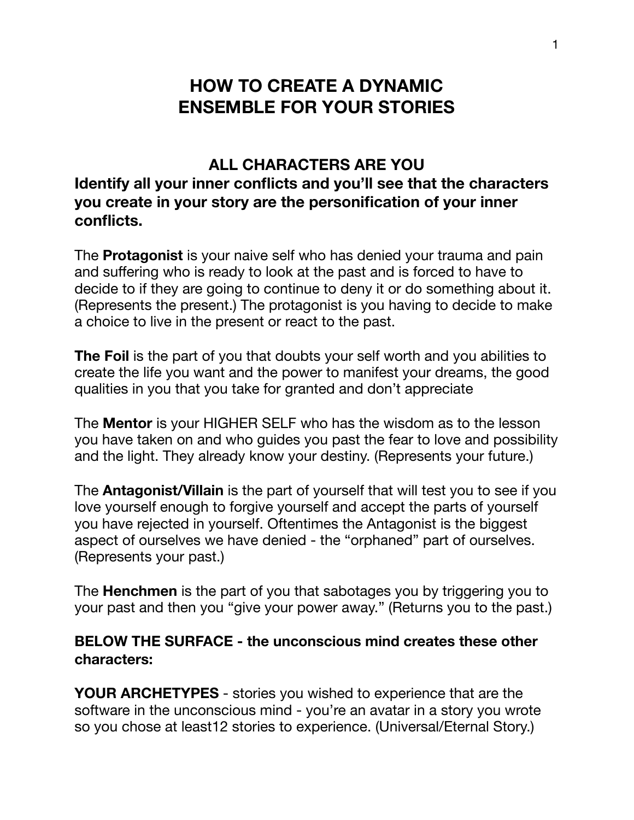## **HOW TO CREATE A DYNAMIC ENSEMBLE FOR YOUR STORIES**

## **ALL CHARACTERS ARE YOU Identify all your inner conflicts and you'll see that the characters you create in your story are the personification of your inner conflicts.**

The **Protagonist** is your naive self who has denied your trauma and pain and suffering who is ready to look at the past and is forced to have to decide to if they are going to continue to deny it or do something about it. (Represents the present.) The protagonist is you having to decide to make a choice to live in the present or react to the past.

**The Foil** is the part of you that doubts your self worth and you abilities to create the life you want and the power to manifest your dreams, the good qualities in you that you take for granted and don't appreciate

The **Mentor** is your HIGHER SELF who has the wisdom as to the lesson you have taken on and who guides you past the fear to love and possibility and the light. They already know your destiny. (Represents your future.)

The **Antagonist/Villain** is the part of yourself that will test you to see if you love yourself enough to forgive yourself and accept the parts of yourself you have rejected in yourself. Oftentimes the Antagonist is the biggest aspect of ourselves we have denied - the "orphaned" part of ourselves. (Represents your past.)

The **Henchmen** is the part of you that sabotages you by triggering you to your past and then you "give your power away." (Returns you to the past.)

## **BELOW THE SURFACE - the unconscious mind creates these other characters:**

**YOUR ARCHETYPES** - stories you wished to experience that are the software in the unconscious mind - you're an avatar in a story you wrote so you chose at least12 stories to experience. (Universal/Eternal Story.)